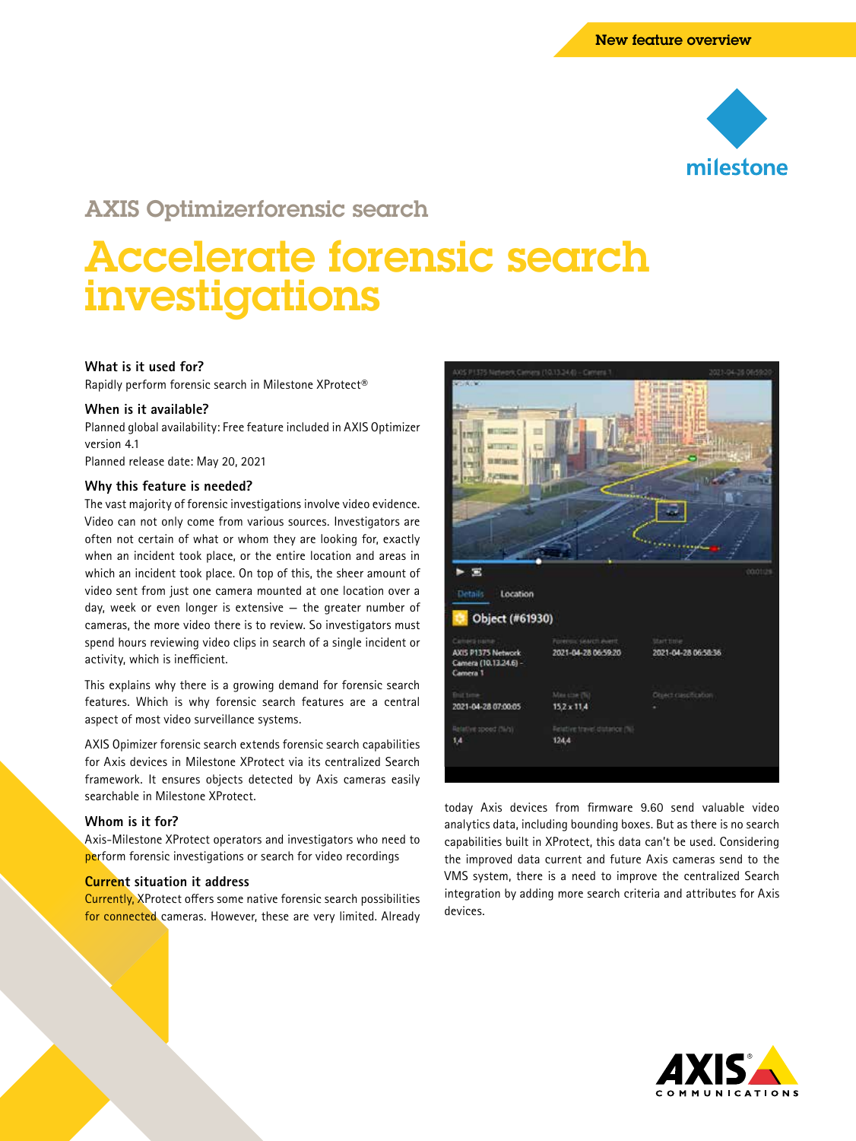

# AXIS Optimizerforensic search

# Accelerate forensic search investigations

### **What is it used for?**

Rapidly perform forensic search in Milestone XProtect®

#### **When is it available?**

Planned global availability: Free feature included in AXIS Optimizer version 4.1

Planned release date: May 20, 2021

#### **Why this feature is needed?**

The vast majority of forensic investigations involve video evidence. Video can not only come from various sources. Investigators are often not certain of what or whom they are looking for, exactly when an incident took place, or the entire location and areas in which an incident took place. On top of this, the sheer amount of video sent from just one camera mounted at one location over a day, week or even longer is extensive — the greater number of cameras, the more video there is to review. So investigators must spend hours reviewing video clips in search of a single incident or activity, which is inefficient.

This explains why there is a growing demand for forensic search features. Which is why forensic search features are a central aspect of most video surveillance systems.

AXIS Opimizer forensic search extends forensic search capabilities for Axis devices in Milestone XProtect via its centralized Search framework. It ensures objects detected by Axis cameras easily searchable in Milestone XProtect.

#### **Whom is it for?**

Axis-Milestone XProtect operators and investigators who need to perform forensic investigations or search for video recordings

#### **Current situation it address**

Currently, XProtect offers some native forensic search possibilities for connected cameras. However, these are very limited. Already



today Axis devices from firmware 9.60 send valuable video analytics data, including bounding boxes. But as there is no search capabilities built in XProtect, this data can't be used. Considering the improved data current and future Axis cameras send to the VMS system, there is a need to improve the centralized Search integration by adding more search criteria and attributes for Axis devices.